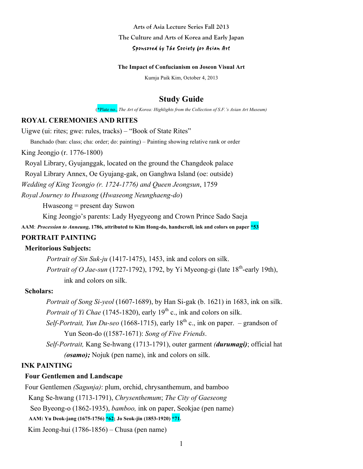**Arts of Asia Lecture Series Fall 2013**

**The Culture and Arts of Korea and Early Japan**

#### Sponsored by The Society for Asian Art

#### **The Impact of Confucianism on Joseon Visual Art**

Kumja Paik Kim, October 4, 2013

# **Study Guide**

(\*Plate no., *The Art of Korea: Highlights from the Collection of S.F.'s Asian Art Museum)*

### **ROYAL CEREMONIES AND RITES**

Uigwe (ui: rites; gwe: rules, tracks) – "Book of State Rites"

Banchado (ban: class; cha: order; do: painting) – Painting showing relative rank or order

King Jeongjo (r. 1776-1800)

Royal Library, Gyujanggak, located on the ground the Changdeok palace

Royal Library Annex, Oe Gyujang-gak, on Ganghwa Island (oe: outside)

*Wedding of King Yeongjo (r. 1724-1776) and Queen Jeongsun*, 1759

*Royal Journey to Hwasong* (*Hwaseong Neunghaeng-do*)

Hwaseong = present day Suwon

King Jeongjo's parents: Lady Hyegyeong and Crown Prince Sado Saeja

**AAM**: *Procession to Anneung,* **1786, attributed to Kim Hong-do, handscroll, ink and colors on paper \*53**

# **PORTRAIT PAINTING**

### **Meritorious Subjects:**

*Portrait of Sin Suk-ju* (1417-1475), 1453, ink and colors on silk. *Portrait of O Jae-sun* (1727-1792), 1792, by Yi Myeong-gi (late  $18^{th}$ -early 19th), ink and colors on silk.

# **Scholars:**

 *Portrait of Song Si-yeol* (1607-1689), by Han Si-gak (b. 1621) in 1683, ink on silk. *Portrait of Yi Chae* (1745-1820), early 19<sup>th</sup> c., ink and colors on silk.

*Self-Portrait, Yun Du-seo* (1668-1715), early  $18<sup>th</sup>$  c., ink on paper. – grandson of Yun Seon-do ((1587-1671): *Song of Five Friends*.

 *Self-Portrait,* Kang Se-hwang (1713-1791), outer garment *(durumagi)*; official hat *(osamo);* Nojuk (pen name), ink and colors on silk.

# **INK PAINTING**

#### **Four Gentlemen and Landscape**

Four Gentlemen *(Sagunja)*: plum, orchid, chrysanthemum, and bamboo

Kang Se-hwang (1713-1791), *Chrysenthemum*; *The City of Gaeseong*

Seo Byeong-o (1862-1935), *bamboo,* ink on paper, Seokjae (pen name)

**AAM: Yu Deok-jang (1675-1756) \*62; Jo Seok-jin (1853-1920) \*71.**

Kim Jeong-hui (1786-1856) – Chusa (pen name)